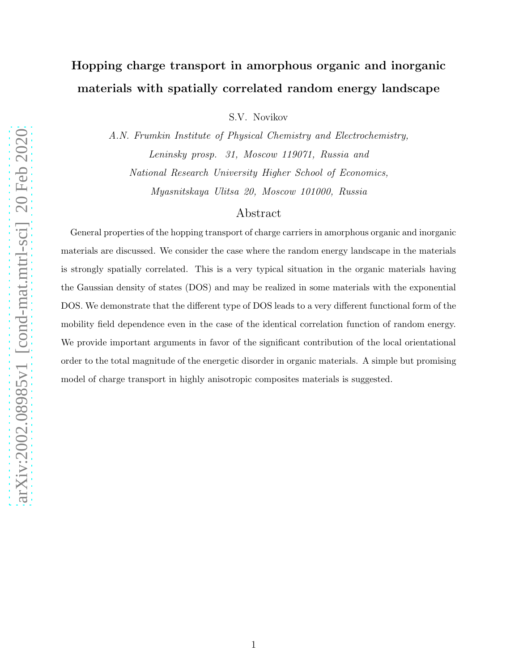# Hopping charge transport in amorphous organic and inorganic materials with spatially correlated random energy landscape

S.V. Novikov

A.N. Frumkin Institute of Physical Chemistry and Electrochemistry, Leninsky prosp. 31, Moscow 119071, Russia and National Research University Higher School of Economics, Myasnitskaya Ulitsa 20, Moscow 101000, Russia

### Abstract

General properties of the hopping transport of charge carriers in amorphous organic and inorganic materials are discussed. We consider the case where the random energy landscape in the materials is strongly spatially correlated. This is a very typical situation in the organic materials having the Gaussian density of states (DOS) and may be realized in some materials with the exponential DOS. We demonstrate that the different type of DOS leads to a very different functional form of the mobility field dependence even in the case of the identical correlation function of random energy. We provide important arguments in favor of the significant contribution of the local orientational order to the total magnitude of the energetic disorder in organic materials. A simple but promising model of charge transport in highly anisotropic composites materials is suggested.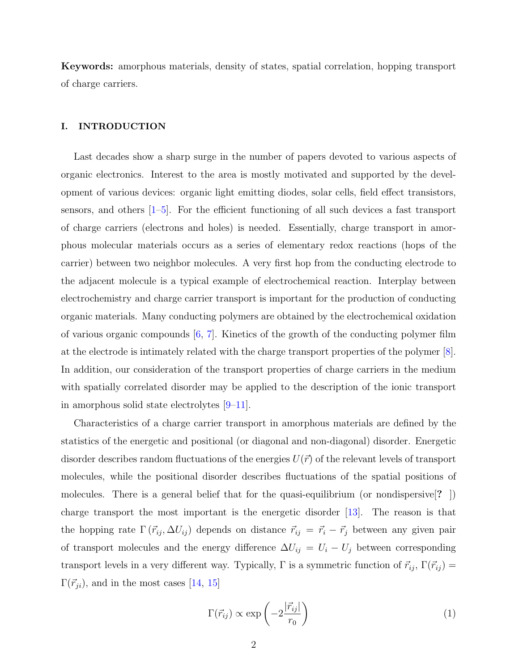Keywords: amorphous materials, density of states, spatial correlation, hopping transport of charge carriers.

### I. INTRODUCTION

Last decades show a sharp surge in the number of papers devoted to various aspects of organic electronics. Interest to the area is mostly motivated and supported by the development of various devices: organic light emitting diodes, solar cells, field effect transistors, sensors, and others  $[1-5]$ . For the efficient functioning of all such devices a fast transport of charge carriers (electrons and holes) is needed. Essentially, charge transport in amorphous molecular materials occurs as a series of elementary redox reactions (hops of the carrier) between two neighbor molecules. A very first hop from the conducting electrode to the adjacent molecule is a typical example of electrochemical reaction. Interplay between electrochemistry and charge carrier transport is important for the production of conducting organic materials. Many conducting polymers are obtained by the electrochemical oxidation of various organic compounds  $[6, 7]$  $[6, 7]$ . Kinetics of the growth of the conducting polymer film at the electrode is intimately related with the charge transport properties of the polymer [\[8\]](#page-16-4). In addition, our consideration of the transport properties of charge carriers in the medium with spatially correlated disorder may be applied to the description of the ionic transport in amorphous solid state electrolytes [\[9](#page-16-5)[–11\]](#page-16-6).

Characteristics of a charge carrier transport in amorphous materials are defined by the statistics of the energetic and positional (or diagonal and non-diagonal) disorder. Energetic disorder describes random fluctuations of the energies  $U(\vec{r})$  of the relevant levels of transport molecules, while the positional disorder describes fluctuations of the spatial positions of molecules. There is a general belief that for the quasi-equilibrium (or nondispersive[? ]) charge transport the most important is the energetic disorder [\[13](#page-16-7)]. The reason is that the hopping rate  $\Gamma(\vec{r}_{ij}, \Delta U_{ij})$  depends on distance  $\vec{r}_{ij} = \vec{r}_i - \vec{r}_j$  between any given pair of transport molecules and the energy difference  $\Delta U_{ij} = U_i - U_j$  between corresponding transport levels in a very different way. Typically,  $\Gamma$  is a symmetric function of  $\vec{r}_{ij}$ ,  $\Gamma(\vec{r}_{ij})$  =  $\Gamma(\vec{r}_{ji})$ , and in the most cases [\[14,](#page-16-8) [15\]](#page-16-9)

$$
\Gamma(\vec{r}_{ij}) \propto \exp\left(-2\frac{|\vec{r}_{ij}|}{r_0}\right) \tag{1}
$$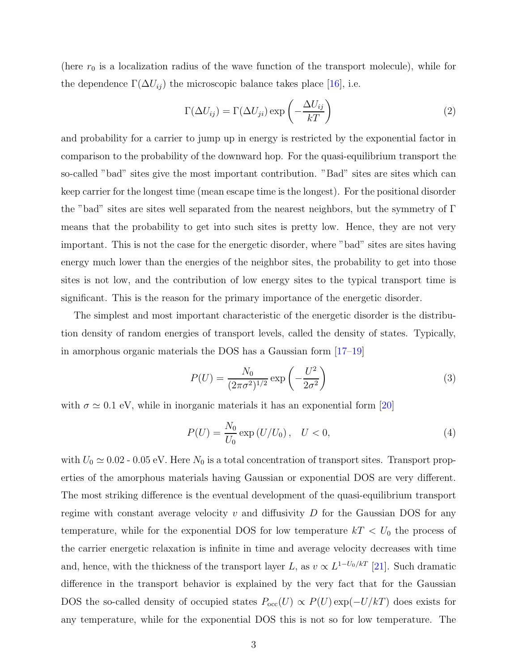(here  $r_0$  is a localization radius of the wave function of the transport molecule), while for the dependence  $\Gamma(\Delta U_{ij})$  the microscopic balance takes place [\[16\]](#page-16-10), i.e.

$$
\Gamma(\Delta U_{ij}) = \Gamma(\Delta U_{ji}) \exp\left(-\frac{\Delta U_{ij}}{kT}\right) \tag{2}
$$

and probability for a carrier to jump up in energy is restricted by the exponential factor in comparison to the probability of the downward hop. For the quasi-equilibrium transport the so-called "bad" sites give the most important contribution. "Bad" sites are sites which can keep carrier for the longest time (mean escape time is the longest). For the positional disorder the "bad" sites are sites well separated from the nearest neighbors, but the symmetry of  $\Gamma$ means that the probability to get into such sites is pretty low. Hence, they are not very important. This is not the case for the energetic disorder, where "bad" sites are sites having energy much lower than the energies of the neighbor sites, the probability to get into those sites is not low, and the contribution of low energy sites to the typical transport time is significant. This is the reason for the primary importance of the energetic disorder.

The simplest and most important characteristic of the energetic disorder is the distribution density of random energies of transport levels, called the density of states. Typically, in amorphous organic materials the DOS has a Gaussian form [\[17](#page-16-11)[–19\]](#page-16-12)

$$
P(U) = \frac{N_0}{(2\pi\sigma^2)^{1/2}} \exp\left(-\frac{U^2}{2\sigma^2}\right)
$$
 (3)

with  $\sigma \simeq 0.1$  eV, while in inorganic materials it has an exponential form [\[20](#page-17-0)]

<span id="page-2-0"></span>
$$
P(U) = \frac{N_0}{U_0} \exp\left(\frac{U}{U_0}\right), \quad U < 0,\tag{4}
$$

with  $U_0 \simeq 0.02$  - 0.05 eV. Here  $N_0$  is a total concentration of transport sites. Transport properties of the amorphous materials having Gaussian or exponential DOS are very different. The most striking difference is the eventual development of the quasi-equilibrium transport regime with constant average velocity  $v$  and diffusivity  $D$  for the Gaussian DOS for any temperature, while for the exponential DOS for low temperature  $kT < U_0$  the process of the carrier energetic relaxation is infinite in time and average velocity decreases with time and, hence, with the thickness of the transport layer L, as  $v \propto L^{1-U_0/kT}$  [\[21](#page-17-1)]. Such dramatic difference in the transport behavior is explained by the very fact that for the Gaussian DOS the so-called density of occupied states  $P_{\text{occ}}(U) \propto P(U) \exp(-U/kT)$  does exists for any temperature, while for the exponential DOS this is not so for low temperature. The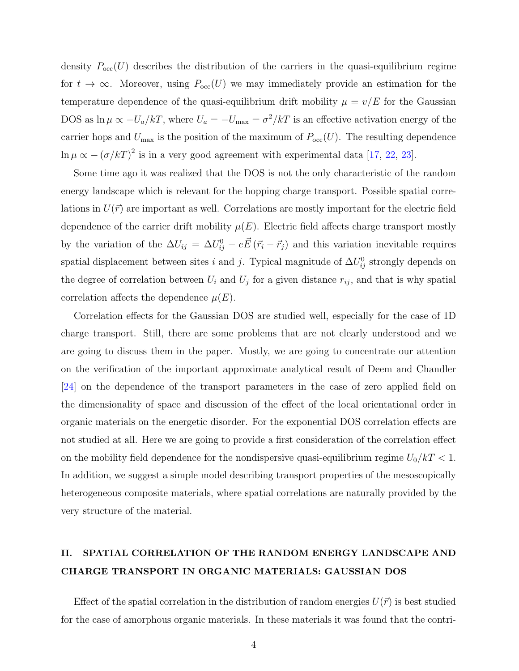density  $P_{\text{occ}}(U)$  describes the distribution of the carriers in the quasi-equilibrium regime for  $t \to \infty$ . Moreover, using  $P_{\text{occ}}(U)$  we may immediately provide an estimation for the temperature dependence of the quasi-equilibrium drift mobility  $\mu = v/E$  for the Gaussian DOS as  $\ln \mu \propto -U_a/kT$ , where  $U_a = -U_{\text{max}} = \sigma^2/kT$  is an effective activation energy of the carrier hops and  $U_{\text{max}}$  is the position of the maximum of  $P_{\text{occ}}(U)$ . The resulting dependence  $\ln \mu \propto -(\sigma/kT)^2$  is in a very good agreement with experimental data [\[17,](#page-16-11) [22,](#page-17-2) [23](#page-17-3)].

Some time ago it was realized that the DOS is not the only characteristic of the random energy landscape which is relevant for the hopping charge transport. Possible spatial correlations in  $U(\vec{r})$  are important as well. Correlations are mostly important for the electric field dependence of the carrier drift mobility  $\mu(E)$ . Electric field affects charge transport mostly by the variation of the  $\Delta U_{ij} = \Delta U_{ij}^0 - e \vec{E} (\vec{r}_i - \vec{r}_j)$  and this variation inevitable requires spatial displacement between sites i and j. Typical magnitude of  $\Delta U_{ij}^0$  strongly depends on the degree of correlation between  $U_i$  and  $U_j$  for a given distance  $r_{ij}$ , and that is why spatial correlation affects the dependence  $\mu(E)$ .

Correlation effects for the Gaussian DOS are studied well, especially for the case of 1D charge transport. Still, there are some problems that are not clearly understood and we are going to discuss them in the paper. Mostly, we are going to concentrate our attention on the verification of the important approximate analytical result of Deem and Chandler [\[24](#page-17-4)] on the dependence of the transport parameters in the case of zero applied field on the dimensionality of space and discussion of the effect of the local orientational order in organic materials on the energetic disorder. For the exponential DOS correlation effects are not studied at all. Here we are going to provide a first consideration of the correlation effect on the mobility field dependence for the nondispersive quasi-equilibrium regime  $U_0/kT < 1$ . In addition, we suggest a simple model describing transport properties of the mesoscopically heterogeneous composite materials, where spatial correlations are naturally provided by the very structure of the material.

### II. SPATIAL CORRELATION OF THE RANDOM ENERGY LANDSCAPE AND CHARGE TRANSPORT IN ORGANIC MATERIALS: GAUSSIAN DOS

Effect of the spatial correlation in the distribution of random energies  $U(\vec{r})$  is best studied for the case of amorphous organic materials. In these materials it was found that the contri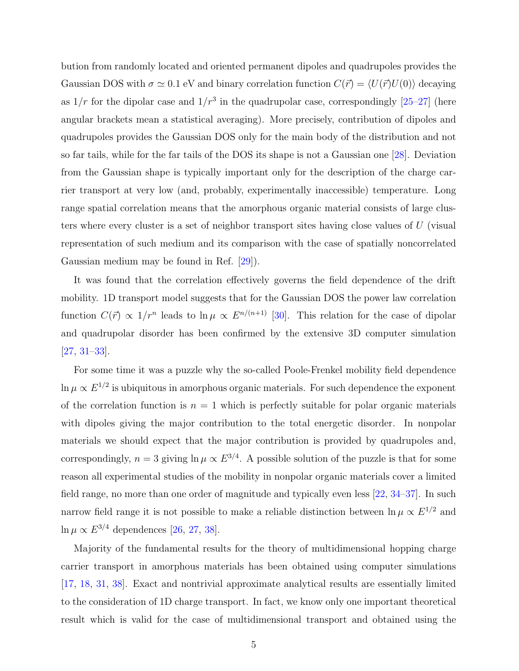bution from randomly located and oriented permanent dipoles and quadrupoles provides the Gaussian DOS with  $\sigma \simeq 0.1$  eV and binary correlation function  $C(\vec{r}) = \langle U(\vec{r})U(0)\rangle$  decaying as  $1/r$  for the dipolar case and  $1/r^3$  in the quadrupolar case, correspondingly [\[25](#page-17-5)[–27](#page-17-6)] (here angular brackets mean a statistical averaging). More precisely, contribution of dipoles and quadrupoles provides the Gaussian DOS only for the main body of the distribution and not so far tails, while for the far tails of the DOS its shape is not a Gaussian one [\[28](#page-17-7)]. Deviation from the Gaussian shape is typically important only for the description of the charge carrier transport at very low (and, probably, experimentally inaccessible) temperature. Long range spatial correlation means that the amorphous organic material consists of large clusters where every cluster is a set of neighbor transport sites having close values of U (visual representation of such medium and its comparison with the case of spatially noncorrelated Gaussian medium may be found in Ref. [\[29\]](#page-17-8)).

It was found that the correlation effectively governs the field dependence of the drift mobility. 1D transport model suggests that for the Gaussian DOS the power law correlation function  $C(\vec{r}) \propto 1/r^n$  leads to  $\ln \mu \propto E^{n/(n+1)}$  [\[30\]](#page-17-9). This relation for the case of dipolar and quadrupolar disorder has been confirmed by the extensive 3D computer simulation [\[27](#page-17-6), [31](#page-17-10)[–33](#page-17-11)].

For some time it was a puzzle why the so-called Poole-Frenkel mobility field dependence  $\ln \mu \propto E^{1/2}$  is ubiquitous in amorphous organic materials. For such dependence the exponent of the correlation function is  $n = 1$  which is perfectly suitable for polar organic materials with dipoles giving the major contribution to the total energetic disorder. In nonpolar materials we should expect that the major contribution is provided by quadrupoles and, correspondingly,  $n = 3$  giving  $\ln \mu \propto E^{3/4}$ . A possible solution of the puzzle is that for some reason all experimental studies of the mobility in nonpolar organic materials cover a limited field range, no more than one order of magnitude and typically even less [\[22](#page-17-2), [34](#page-17-12)[–37](#page-17-13)]. In such narrow field range it is not possible to make a reliable distinction between  $\ln \mu \propto E^{1/2}$  and ln  $\mu \propto E^{3/4}$  dependences [\[26,](#page-17-14) [27](#page-17-6), [38](#page-17-15)].

Majority of the fundamental results for the theory of multidimensional hopping charge carrier transport in amorphous materials has been obtained using computer simulations [\[17](#page-16-11), [18](#page-16-13), [31](#page-17-10), [38](#page-17-15)]. Exact and nontrivial approximate analytical results are essentially limited to the consideration of 1D charge transport. In fact, we know only one important theoretical result which is valid for the case of multidimensional transport and obtained using the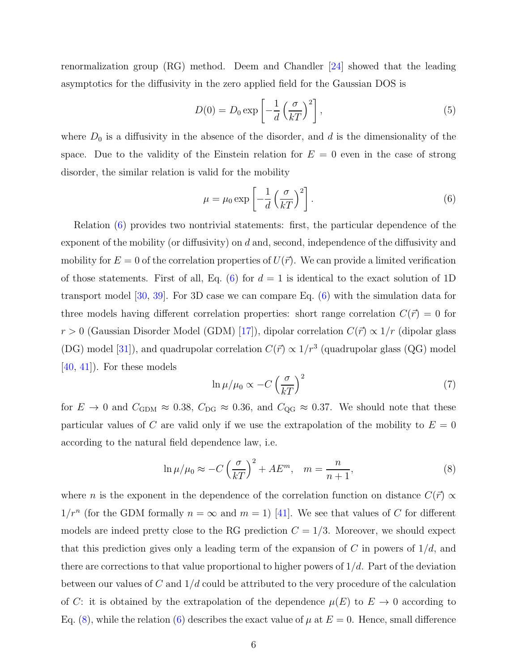renormalization group (RG) method. Deem and Chandler [\[24](#page-17-4)] showed that the leading asymptotics for the diffusivity in the zero applied field for the Gaussian DOS is

$$
D(0) = D_0 \exp\left[-\frac{1}{d}\left(\frac{\sigma}{kT}\right)^2\right],\tag{5}
$$

where  $D_0$  is a diffusivity in the absence of the disorder, and d is the dimensionality of the space. Due to the validity of the Einstein relation for  $E = 0$  even in the case of strong disorder, the similar relation is valid for the mobility

<span id="page-5-0"></span>
$$
\mu = \mu_0 \exp\left[-\frac{1}{d}\left(\frac{\sigma}{kT}\right)^2\right].\tag{6}
$$

Relation [\(6\)](#page-5-0) provides two nontrivial statements: first, the particular dependence of the exponent of the mobility (or diffusivity) on  $d$  and, second, independence of the diffusivity and mobility for  $E = 0$  of the correlation properties of  $U(\vec{r})$ . We can provide a limited verification of those statements. First of all, Eq. [\(6\)](#page-5-0) for  $d = 1$  is identical to the exact solution of 1D transport model [\[30,](#page-17-9) [39](#page-17-16)]. For 3D case we can compare Eq. [\(6\)](#page-5-0) with the simulation data for three models having different correlation properties: short range correlation  $C(\vec{r}) = 0$  for  $r > 0$  (Gaussian Disorder Model (GDM) [\[17](#page-16-11)]), dipolar correlation  $C(\vec{r}) \propto 1/r$  (dipolar glass (DG) model [\[31](#page-17-10)]), and quadrupolar correlation  $C(\vec{r}) \propto 1/r^3$  (quadrupolar glass (QG) model [\[40](#page-17-17), [41\]](#page-17-18)). For these models

$$
\ln \mu / \mu_0 \propto -C \left(\frac{\sigma}{kT}\right)^2 \tag{7}
$$

for  $E \to 0$  and  $C_{\text{GDM}} \approx 0.38$ ,  $C_{\text{DG}} \approx 0.36$ , and  $C_{\text{QG}} \approx 0.37$ . We should note that these particular values of C are valid only if we use the extrapolation of the mobility to  $E = 0$ according to the natural field dependence law, i.e.

<span id="page-5-1"></span>
$$
\ln \mu / \mu_0 \approx -C \left(\frac{\sigma}{kT}\right)^2 + AE^m, \quad m = \frac{n}{n+1},\tag{8}
$$

where *n* is the exponent in the dependence of the correlation function on distance  $C(\vec{r}) \propto$  $1/r^n$  (for the GDM formally  $n = \infty$  and  $m = 1$ ) [\[41](#page-17-18)]. We see that values of C for different models are indeed pretty close to the RG prediction  $C = 1/3$ . Moreover, we should expect that this prediction gives only a leading term of the expansion of C in powers of  $1/d$ , and there are corrections to that value proportional to higher powers of  $1/d$ . Part of the deviation between our values of C and  $1/d$  could be attributed to the very procedure of the calculation of C: it is obtained by the extrapolation of the dependence  $\mu(E)$  to  $E \to 0$  according to Eq. [\(8\)](#page-5-1), while the relation [\(6\)](#page-5-0) describes the exact value of  $\mu$  at  $E = 0$ . Hence, small difference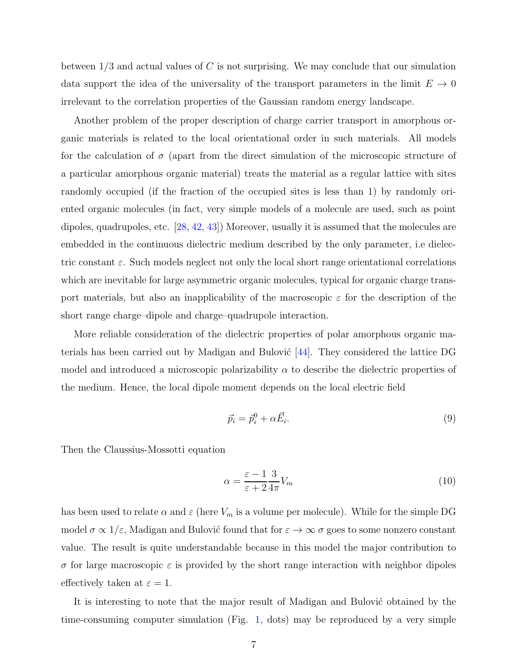between  $1/3$  and actual values of C is not surprising. We may conclude that our simulation data support the idea of the universality of the transport parameters in the limit  $E \to 0$ irrelevant to the correlation properties of the Gaussian random energy landscape.

Another problem of the proper description of charge carrier transport in amorphous organic materials is related to the local orientational order in such materials. All models for the calculation of  $\sigma$  (apart from the direct simulation of the microscopic structure of a particular amorphous organic material) treats the material as a regular lattice with sites randomly occupied (if the fraction of the occupied sites is less than 1) by randomly oriented organic molecules (in fact, very simple models of a molecule are used, such as point dipoles, quadrupoles, etc. [\[28](#page-17-7), [42](#page-17-19), [43\]](#page-17-20)) Moreover, usually it is assumed that the molecules are embedded in the continuous dielectric medium described by the only parameter, i.e dielectric constant  $\varepsilon$ . Such models neglect not only the local short range orientational correlations which are inevitable for large asymmetric organic molecules, typical for organic charge transport materials, but also an inapplicability of the macroscopic  $\varepsilon$  for the description of the short range charge–dipole and charge–quadrupole interaction.

More reliable consideration of the dielectric properties of polar amorphous organic materials has been carried out by Madigan and Bulović  $[44]$ . They considered the lattice DG model and introduced a microscopic polarizability  $\alpha$  to describe the dielectric properties of the medium. Hence, the local dipole moment depends on the local electric field

$$
\vec{p}_i = \vec{p}_i^0 + \alpha \vec{E}_i. \tag{9}
$$

Then the Claussius-Mossotti equation

$$
\alpha = \frac{\varepsilon - 1}{\varepsilon + 2} \frac{3}{4\pi} V_m \tag{10}
$$

has been used to relate  $\alpha$  and  $\varepsilon$  (here  $V_m$  is a volume per molecule). While for the simple DG model  $\sigma \propto 1/\varepsilon$ , Madigan and Bulović found that for  $\varepsilon \to \infty$   $\sigma$  goes to some nonzero constant value. The result is quite understandable because in this model the major contribution to σ for large macroscopic ε is provided by the short range interaction with neighbor dipoles effectively taken at  $\varepsilon = 1$ .

It is interesting to note that the major result of Madigan and Bulović obtained by the time-consuming computer simulation (Fig. [1,](#page-7-0) dots) may be reproduced by a very simple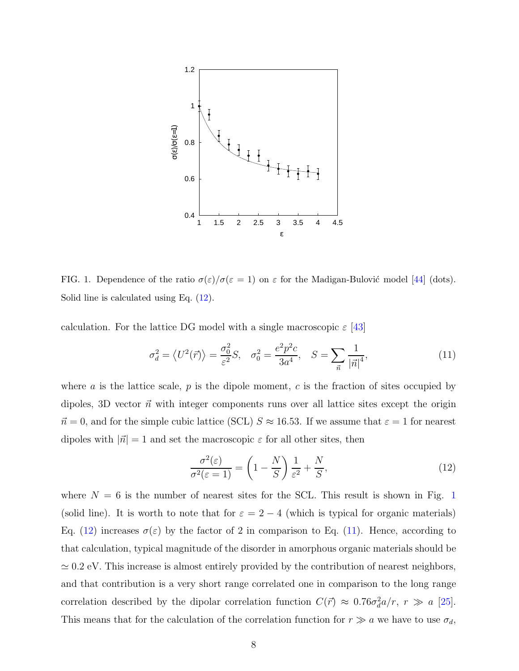

<span id="page-7-0"></span>FIG. 1. Dependence of the ratio  $\sigma(\varepsilon)/\sigma(\varepsilon = 1)$  on  $\varepsilon$  for the Madigan-Bulović model [\[44](#page-17-21)] (dots). Solid line is calculated using Eq.  $(12)$ .

calculation. For the lattice DG model with a single macroscopic  $\varepsilon$  [\[43\]](#page-17-20)

<span id="page-7-2"></span>
$$
\sigma_d^2 = \langle U^2(\vec{r}) \rangle = \frac{\sigma_0^2}{\varepsilon^2} S, \quad \sigma_0^2 = \frac{e^2 p^2 c}{3a^4}, \quad S = \sum_{\vec{n}} \frac{1}{|\vec{n}|^4}, \tag{11}
$$

where a is the lattice scale,  $p$  is the dipole moment,  $c$  is the fraction of sites occupied by dipoles, 3D vector  $\vec{n}$  with integer components runs over all lattice sites except the origin  $\vec{n} = 0$ , and for the simple cubic lattice (SCL)  $S \approx 16.53$ . If we assume that  $\varepsilon = 1$  for nearest dipoles with  $|\vec{n}| = 1$  and set the macroscopic  $\varepsilon$  for all other sites, then

<span id="page-7-1"></span>
$$
\frac{\sigma^2(\varepsilon)}{\sigma^2(\varepsilon=1)} = \left(1 - \frac{N}{S}\right)\frac{1}{\varepsilon^2} + \frac{N}{S},\tag{12}
$$

where  $N = 6$  is the number of nearest sites for the SCL. This result is shown in Fig. [1](#page-7-0) (solid line). It is worth to note that for  $\varepsilon = 2 - 4$  (which is typical for organic materials) Eq. [\(12\)](#page-7-1) increases  $\sigma(\varepsilon)$  by the factor of 2 in comparison to Eq. [\(11\)](#page-7-2). Hence, according to that calculation, typical magnitude of the disorder in amorphous organic materials should be  $\simeq 0.2$  eV. This increase is almost entirely provided by the contribution of nearest neighbors, and that contribution is a very short range correlated one in comparison to the long range correlation described by the dipolar correlation function  $C(\vec{r}) \approx 0.76\sigma_d^2 a/r$ ,  $r \gg a$  [\[25\]](#page-17-5). This means that for the calculation of the correlation function for  $r \gg a$  we have to use  $\sigma_d$ ,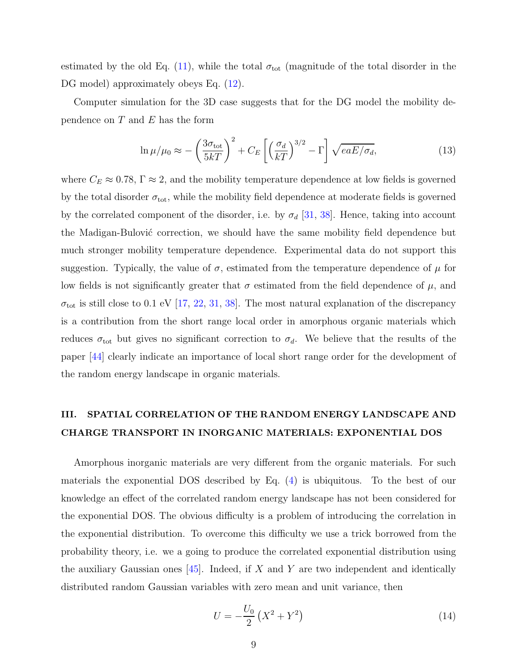estimated by the old Eq. [\(11\)](#page-7-2), while the total  $\sigma_{\text{tot}}$  (magnitude of the total disorder in the DG model) approximately obeys Eq.  $(12)$ .

Computer simulation for the 3D case suggests that for the DG model the mobility dependence on  $T$  and  $E$  has the form

$$
\ln \mu / \mu_0 \approx -\left(\frac{3\sigma_{\text{tot}}}{5kT}\right)^2 + C_E \left[ \left(\frac{\sigma_d}{kT}\right)^{3/2} - \Gamma \right] \sqrt{eaE/\sigma_d},\tag{13}
$$

where  $C_E \approx 0.78$ ,  $\Gamma \approx 2$ , and the mobility temperature dependence at low fields is governed by the total disorder  $\sigma_{\text{tot}}$ , while the mobility field dependence at moderate fields is governed by the correlated component of the disorder, i.e. by  $\sigma_d$  [\[31,](#page-17-10) [38\]](#page-17-15). Hence, taking into account the Madigan-Bulović correction, we should have the same mobility field dependence but much stronger mobility temperature dependence. Experimental data do not support this suggestion. Typically, the value of  $\sigma$ , estimated from the temperature dependence of  $\mu$  for low fields is not significantly greater that  $\sigma$  estimated from the field dependence of  $\mu$ , and  $\sigma_{\text{tot}}$  is still close to 0.1 eV [\[17](#page-16-11), [22](#page-17-2), [31,](#page-17-10) [38](#page-17-15)]. The most natural explanation of the discrepancy is a contribution from the short range local order in amorphous organic materials which reduces  $\sigma_{\text{tot}}$  but gives no significant correction to  $\sigma_d$ . We believe that the results of the paper [\[44](#page-17-21)] clearly indicate an importance of local short range order for the development of the random energy landscape in organic materials.

## III. SPATIAL CORRELATION OF THE RANDOM ENERGY LANDSCAPE AND CHARGE TRANSPORT IN INORGANIC MATERIALS: EXPONENTIAL DOS

Amorphous inorganic materials are very different from the organic materials. For such materials the exponential DOS described by Eq. [\(4\)](#page-2-0) is ubiquitous. To the best of our knowledge an effect of the correlated random energy landscape has not been considered for the exponential DOS. The obvious difficulty is a problem of introducing the correlation in the exponential distribution. To overcome this difficulty we use a trick borrowed from the probability theory, i.e. we a going to produce the correlated exponential distribution using the auxiliary Gaussian ones  $[45]$ . Indeed, if X and Y are two independent and identically distributed random Gaussian variables with zero mean and unit variance, then

<span id="page-8-0"></span>
$$
U = -\frac{U_0}{2} \left( X^2 + Y^2 \right) \tag{14}
$$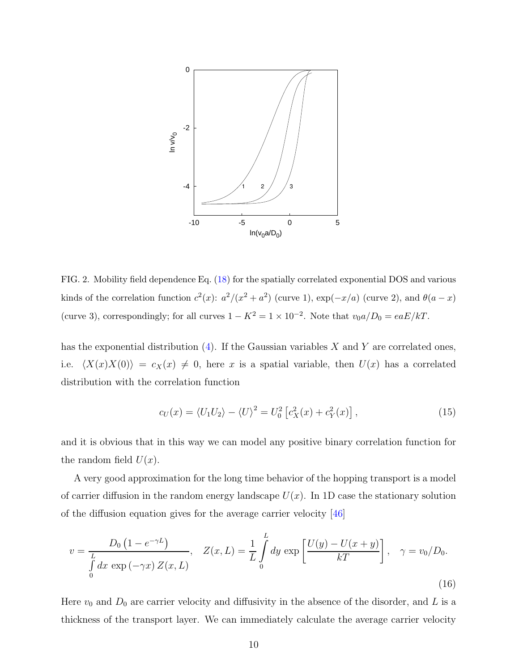

<span id="page-9-0"></span>FIG. 2. Mobility field dependence Eq. [\(18\)](#page-10-0) for the spatially correlated exponential DOS and various kinds of the correlation function  $c^2(x)$ :  $a^2/(x^2 + a^2)$  (curve 1),  $\exp(-x/a)$  (curve 2), and  $\theta(a-x)$ (curve 3), correspondingly; for all curves  $1 - K^2 = 1 \times 10^{-2}$ . Note that  $v_0 a/D_0 = eaE/kT$ .

has the exponential distribution  $(4)$ . If the Gaussian variables X and Y are correlated ones, i.e.  $\langle X(x)X(0)\rangle = c_X(x) \neq 0$ , here x is a spatial variable, then  $U(x)$  has a correlated distribution with the correlation function

$$
c_U(x) = \langle U_1 U_2 \rangle - \langle U \rangle^2 = U_0^2 \left[ c_X^2(x) + c_Y^2(x) \right], \tag{15}
$$

and it is obvious that in this way we can model any positive binary correlation function for the random field  $U(x)$ .

A very good approximation for the long time behavior of the hopping transport is a model of carrier diffusion in the random energy landscape  $U(x)$ . In 1D case the stationary solution of the diffusion equation gives for the average carrier velocity [\[46\]](#page-18-0)

$$
v = \frac{D_0 (1 - e^{-\gamma L})}{\int_0^L dx \exp(-\gamma x) Z(x, L)}, \quad Z(x, L) = \frac{1}{L} \int_0^L dy \exp\left[\frac{U(y) - U(x + y)}{kT}\right], \quad \gamma = v_0/D_0.
$$
\n(16)

Here  $v_0$  and  $D_0$  are carrier velocity and diffusivity in the absence of the disorder, and L is a thickness of the transport layer. We can immediately calculate the average carrier velocity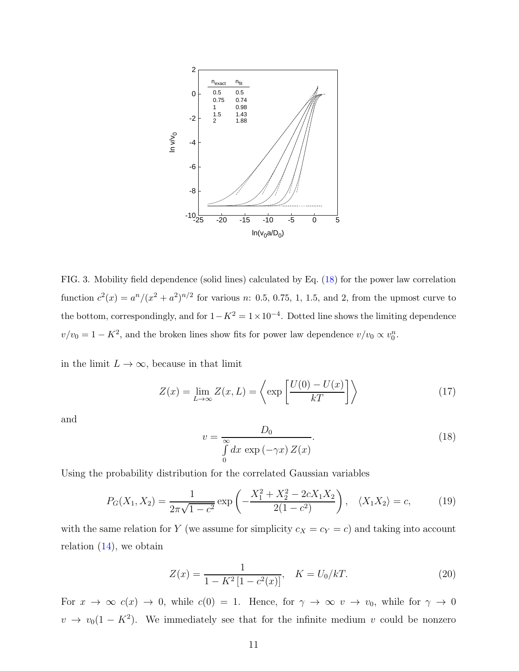

<span id="page-10-1"></span>FIG. 3. Mobility field dependence (solid lines) calculated by Eq. [\(18\)](#page-10-0) for the power law correlation function  $c^2(x) = a^n/(x^2 + a^2)^{n/2}$  for various n: 0.5, 0.75, 1, 1.5, and 2, from the upmost curve to the bottom, correspondingly, and for  $1 - K^2 = 1 \times 10^{-4}$ . Dotted line shows the limiting dependence  $v/v_0 = 1 - K^2$ , and the broken lines show fits for power law dependence  $v/v_0 \propto v_0^n$ .

in the limit  $L \to \infty$ , because in that limit

$$
Z(x) = \lim_{L \to \infty} Z(x, L) = \left\langle \exp\left[\frac{U(0) - U(x)}{kT}\right] \right\rangle \tag{17}
$$

and

<span id="page-10-0"></span>
$$
v = \frac{D_0}{\int_0^\infty dx \, \exp\left(-\gamma x\right) Z(x)}.\tag{18}
$$

Using the probability distribution for the correlated Gaussian variables

$$
P_G(X_1, X_2) = \frac{1}{2\pi\sqrt{1 - c^2}} \exp\left(-\frac{X_1^2 + X_2^2 - 2cX_1X_2}{2(1 - c^2)}\right), \quad \langle X_1 X_2 \rangle = c,\tag{19}
$$

with the same relation for Y (we assume for simplicity  $c_X = c_Y = c$ ) and taking into account relation  $(14)$ , we obtain

$$
Z(x) = \frac{1}{1 - K^2 [1 - c^2(x)]}, \quad K = U_0 / kT.
$$
 (20)

For  $x \to \infty$   $c(x) \to 0$ , while  $c(0) = 1$ . Hence, for  $\gamma \to \infty$   $v \to v_0$ , while for  $\gamma \to 0$  $v \to v_0(1 - K^2)$ . We immediately see that for the infinite medium v could be nonzero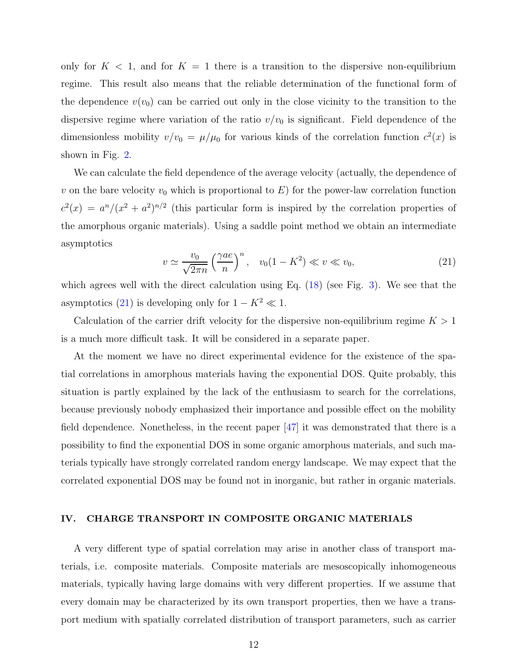only for  $K < 1$ , and for  $K = 1$  there is a transition to the dispersive non-equilibrium regime. This result also means that the reliable determination of the functional form of the dependence  $v(v_0)$  can be carried out only in the close vicinity to the transition to the dispersive regime where variation of the ratio  $v/v_0$  is significant. Field dependence of the dimensionless mobility  $v/v_0 = \mu/\mu_0$  for various kinds of the correlation function  $c^2(x)$  is shown in Fig. [2.](#page-9-0)

We can calculate the field dependence of the average velocity (actually, the dependence of v on the bare velocity  $v_0$  which is proportional to E) for the power-law correlation function  $c^2(x) = a^n/(x^2 + a^2)^{n/2}$  (this particular form is inspired by the correlation properties of the amorphous organic materials). Using a saddle point method we obtain an intermediate asymptotics

<span id="page-11-0"></span>
$$
v \simeq \frac{v_0}{\sqrt{2\pi n}} \left(\frac{\gamma ae}{n}\right)^n, \quad v_0(1 - K^2) \ll v \ll v_0,\tag{21}
$$

which agrees well with the direct calculation using Eq. [\(18\)](#page-10-0) (see Fig. [3\)](#page-10-1). We see that the asymptotics [\(21\)](#page-11-0) is developing only for  $1 - K^2 \ll 1$ .

Calculation of the carrier drift velocity for the dispersive non-equilibrium regime  $K > 1$ is a much more difficult task. It will be considered in a separate paper.

At the moment we have no direct experimental evidence for the existence of the spatial correlations in amorphous materials having the exponential DOS. Quite probably, this situation is partly explained by the lack of the enthusiasm to search for the correlations, because previously nobody emphasized their importance and possible effect on the mobility field dependence. Nonetheless, in the recent paper [\[47\]](#page-18-1) it was demonstrated that there is a possibility to find the exponential DOS in some organic amorphous materials, and such materials typically have strongly correlated random energy landscape. We may expect that the correlated exponential DOS may be found not in inorganic, but rather in organic materials.

#### IV. CHARGE TRANSPORT IN COMPOSITE ORGANIC MATERIALS

A very different type of spatial correlation may arise in another class of transport materials, i.e. composite materials. Composite materials are mesoscopically inhomogeneous materials, typically having large domains with very different properties. If we assume that every domain may be characterized by its own transport properties, then we have a transport medium with spatially correlated distribution of transport parameters, such as carrier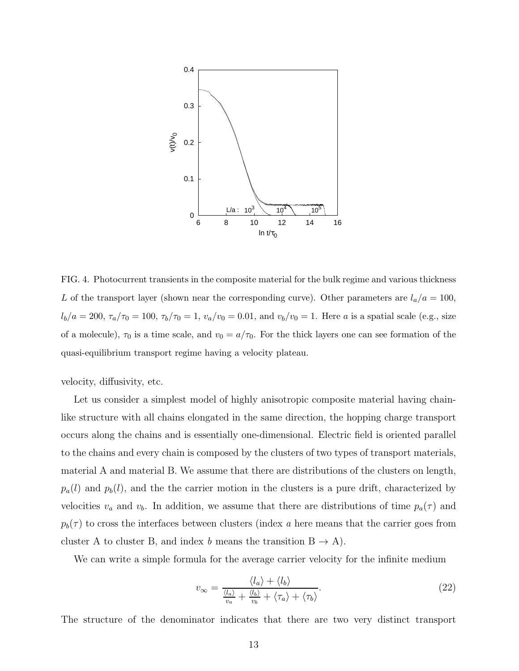

<span id="page-12-0"></span>FIG. 4. Photocurrent transients in the composite material for the bulk regime and various thickness L of the transport layer (shown near the corresponding curve). Other parameters are  $l_a/a = 100$ ,  $l_b/a = 200, \tau_a/\tau_0 = 100, \tau_b/\tau_0 = 1, v_a/v_0 = 0.01$ , and  $v_b/v_0 = 1$ . Here a is a spatial scale (e.g., size of a molecule),  $\tau_0$  is a time scale, and  $v_0 = a/\tau_0$ . For the thick layers one can see formation of the quasi-equilibrium transport regime having a velocity plateau.

velocity, diffusivity, etc.

Let us consider a simplest model of highly anisotropic composite material having chainlike structure with all chains elongated in the same direction, the hopping charge transport occurs along the chains and is essentially one-dimensional. Electric field is oriented parallel to the chains and every chain is composed by the clusters of two types of transport materials, material A and material B. We assume that there are distributions of the clusters on length,  $p_a(l)$  and  $p_b(l)$ , and the the carrier motion in the clusters is a pure drift, characterized by velocities  $v_a$  and  $v_b$ . In addition, we assume that there are distributions of time  $p_a(\tau)$  and  $p_b(\tau)$  to cross the interfaces between clusters (index a here means that the carrier goes from cluster A to cluster B, and index b means the transition  $B \to A$ ).

We can write a simple formula for the average carrier velocity for the infinite medium

<span id="page-12-1"></span>
$$
v_{\infty} = \frac{\langle l_a \rangle + \langle l_b \rangle}{\frac{\langle l_a \rangle}{v_a} + \frac{\langle l_b \rangle}{v_b} + \langle \tau_a \rangle + \langle \tau_b \rangle}.
$$
\n(22)

The structure of the denominator indicates that there are two very distinct transport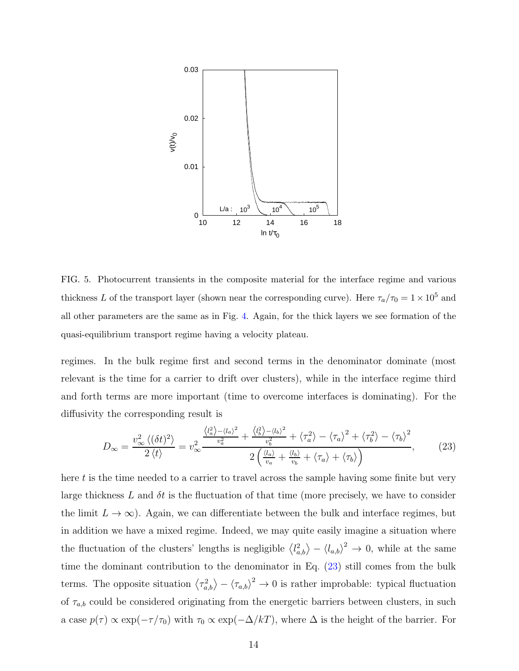

<span id="page-13-1"></span>FIG. 5. Photocurrent transients in the composite material for the interface regime and various thickness L of the transport layer (shown near the corresponding curve). Here  $\tau_a/\tau_0 = 1 \times 10^5$  and all other parameters are the same as in Fig. [4.](#page-12-0) Again, for the thick layers we see formation of the quasi-equilibrium transport regime having a velocity plateau.

regimes. In the bulk regime first and second terms in the denominator dominate (most relevant is the time for a carrier to drift over clusters), while in the interface regime third and forth terms are more important (time to overcome interfaces is dominating). For the diffusivity the corresponding result is

<span id="page-13-0"></span>
$$
D_{\infty} = \frac{v_{\infty}^2 \langle (\delta t)^2 \rangle}{2 \langle t \rangle} = v_{\infty}^2 \frac{\frac{\langle l_a^2 \rangle - \langle l_a \rangle^2}{v_a^2} + \frac{\langle l_b^2 \rangle - \langle l_b \rangle^2}{v_b^2} + \langle \tau_a^2 \rangle - \langle \tau_a \rangle^2 + \langle \tau_b^2 \rangle - \langle \tau_b \rangle^2}{2 \left( \frac{\langle l_a \rangle}{v_a} + \frac{\langle l_b \rangle}{v_b} + \langle \tau_a \rangle + \langle \tau_b \rangle \right)},\tag{23}
$$

here t is the time needed to a carrier to travel across the sample having some finite but very large thickness L and  $\delta t$  is the fluctuation of that time (more precisely, we have to consider the limit  $L \to \infty$ ). Again, we can differentiate between the bulk and interface regimes, but in addition we have a mixed regime. Indeed, we may quite easily imagine a situation where the fluctuation of the clusters' lengths is negligible  $\langle l_{a,b}^2 \rangle - \langle l_{a,b} \rangle^2 \to 0$ , while at the same time the dominant contribution to the denominator in Eq. [\(23\)](#page-13-0) still comes from the bulk terms. The opposite situation  $\langle \tau_{a,b}^2 \rangle - \langle \tau_{a,b} \rangle^2 \to 0$  is rather improbable: typical fluctuation of  $\tau_{a,b}$  could be considered originating from the energetic barriers between clusters, in such a case  $p(\tau) \propto \exp(-\tau/\tau_0)$  with  $\tau_0 \propto \exp(-\Delta/kT)$ , where  $\Delta$  is the height of the barrier. For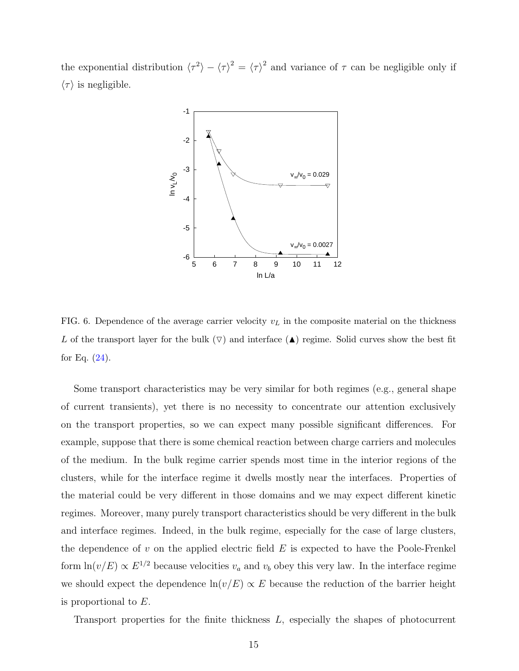the exponential distribution  $\langle \tau^2 \rangle - \langle \tau \rangle^2 = \langle \tau \rangle^2$  and variance of  $\tau$  can be negligible only if  $\langle \tau \rangle$  is negligible.



<span id="page-14-0"></span>FIG. 6. Dependence of the average carrier velocity  $v<sub>L</sub>$  in the composite material on the thickness L of the transport layer for the bulk  $(\nabla)$  and interface (A) regime. Solid curves show the best fit for Eq.  $(24)$ .

Some transport characteristics may be very similar for both regimes (e.g., general shape of current transients), yet there is no necessity to concentrate our attention exclusively on the transport properties, so we can expect many possible significant differences. For example, suppose that there is some chemical reaction between charge carriers and molecules of the medium. In the bulk regime carrier spends most time in the interior regions of the clusters, while for the interface regime it dwells mostly near the interfaces. Properties of the material could be very different in those domains and we may expect different kinetic regimes. Moreover, many purely transport characteristics should be very different in the bulk and interface regimes. Indeed, in the bulk regime, especially for the case of large clusters, the dependence of  $v$  on the applied electric field  $E$  is expected to have the Poole-Frenkel form  $\ln(v/E) \propto E^{1/2}$  because velocities  $v_a$  and  $v_b$  obey this very law. In the interface regime we should expect the dependence  $\ln(v/E) \propto E$  because the reduction of the barrier height is proportional to E.

Transport properties for the finite thickness L, especially the shapes of photocurrent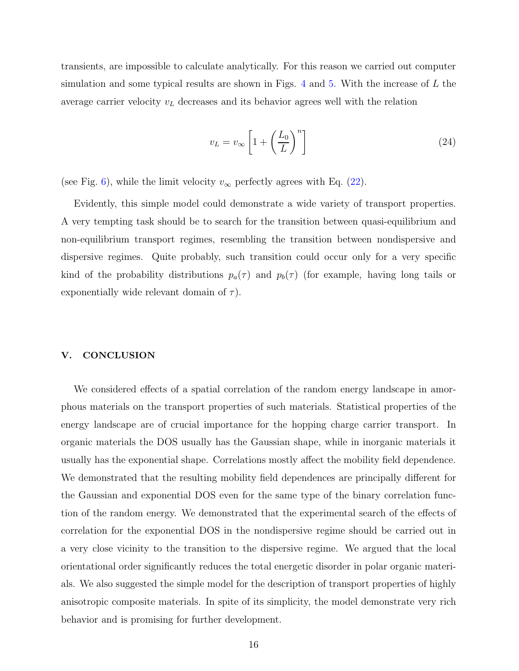transients, are impossible to calculate analytically. For this reason we carried out computer simulation and some typical results are shown in Figs.  $4$  and  $5$ . With the increase of  $L$  the average carrier velocity  $v<sub>L</sub>$  decreases and its behavior agrees well with the relation

<span id="page-15-0"></span>
$$
v_L = v_{\infty} \left[ 1 + \left(\frac{L_0}{L}\right)^n \right] \tag{24}
$$

(see Fig. [6\)](#page-14-0), while the limit velocity  $v_{\infty}$  perfectly agrees with Eq. [\(22\)](#page-12-1).

Evidently, this simple model could demonstrate a wide variety of transport properties. A very tempting task should be to search for the transition between quasi-equilibrium and non-equilibrium transport regimes, resembling the transition between nondispersive and dispersive regimes. Quite probably, such transition could occur only for a very specific kind of the probability distributions  $p_a(\tau)$  and  $p_b(\tau)$  (for example, having long tails or exponentially wide relevant domain of  $\tau$ ).

### V. CONCLUSION

We considered effects of a spatial correlation of the random energy landscape in amorphous materials on the transport properties of such materials. Statistical properties of the energy landscape are of crucial importance for the hopping charge carrier transport. In organic materials the DOS usually has the Gaussian shape, while in inorganic materials it usually has the exponential shape. Correlations mostly affect the mobility field dependence. We demonstrated that the resulting mobility field dependences are principally different for the Gaussian and exponential DOS even for the same type of the binary correlation function of the random energy. We demonstrated that the experimental search of the effects of correlation for the exponential DOS in the nondispersive regime should be carried out in a very close vicinity to the transition to the dispersive regime. We argued that the local orientational order significantly reduces the total energetic disorder in polar organic materials. We also suggested the simple model for the description of transport properties of highly anisotropic composite materials. In spite of its simplicity, the model demonstrate very rich behavior and is promising for further development.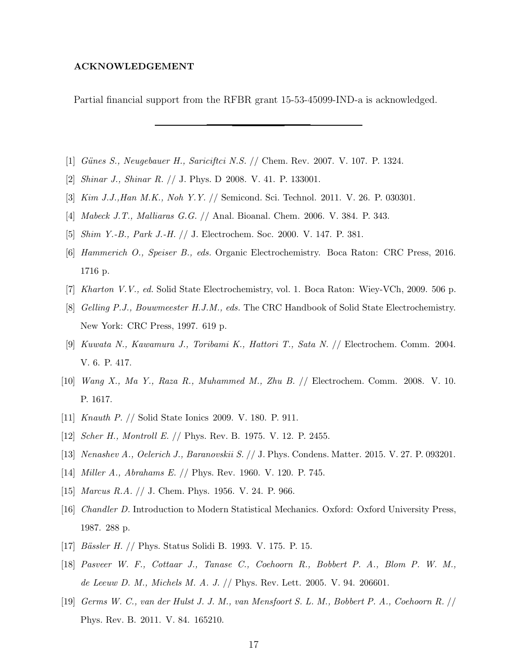#### ACKNOWLEDGEMENT

Partial financial support from the RFBR grant 15-53-45099-IND-a is acknowledged.

- <span id="page-16-0"></span>[1] Günes S., Neugebauer H., Sariciftci N.S. // Chem. Rev. 2007. V. 107. P. 1324.
- [2] Shinar J., Shinar R. // J. Phys. D 2008. V. 41. P. 133001.
- [3] Kim J.J.,Han M.K., Noh Y.Y. // Semicond. Sci. Technol. 2011. V. 26. P. 030301.
- <span id="page-16-1"></span>[4] Mabeck J.T., Malliaras G.G. // Anal. Bioanal. Chem. 2006. V. 384. P. 343.
- <span id="page-16-2"></span>[5] Shim Y.-B., Park J.-H. // J. Electrochem. Soc. 2000. V. 147. P. 381.
- [6] Hammerich O., Speiser B., eds. Organic Electrochemistry. Boca Raton: CRC Press, 2016. 1716 p.
- <span id="page-16-3"></span>[7] Kharton V.V., ed. Solid State Electrochemistry, vol. 1. Boca Raton: Wiey-VCh, 2009. 506 p.
- <span id="page-16-4"></span>[8] Gelling P.J., Bouwmeester H.J.M., eds. The CRC Handbook of Solid State Electrochemistry. New York: CRC Press, 1997. 619 p.
- <span id="page-16-5"></span>[9] Kuwata N., Kawamura J., Toribami K., Hattori T., Sata N. // Electrochem. Comm. 2004. V. 6. P. 417.
- [10] Wang X., Ma Y., Raza R., Muhammed M., Zhu B. // Electrochem. Comm. 2008. V. 10. P. 1617.
- <span id="page-16-6"></span>[11] Knauth P. // Solid State Ionics 2009. V. 180. P. 911.
- [12] Scher H., Montroll E. // Phys. Rev. B. 1975. V. 12. P. 2455.
- <span id="page-16-7"></span>[13] Nenashev A., Oelerich J., Baranovskii S. // J. Phys. Condens. Matter. 2015. V. 27. P. 093201.
- <span id="page-16-9"></span><span id="page-16-8"></span>[14] Miller A., Abrahams E. // Phys. Rev. 1960. V. 120. P. 745.
- <span id="page-16-10"></span>[15] *Marcus R.A.* // J. Chem. Phys. 1956. V. 24. P. 966.
- [16] Chandler D. Introduction to Modern Statistical Mechanics. Oxford: Oxford University Press, 1987. 288 p.
- <span id="page-16-11"></span>[17] *Bässler H. // Phys. Status Solidi B. 1993. V. 175. P. 15.*
- <span id="page-16-13"></span>[18] Pasveer W. F., Cottaar J., Tanase C., Coehoorn R., Bobbert P. A., Blom P. W. M., de Leeuw D. M., Michels M. A. J. // Phys. Rev. Lett. 2005. V. 94. 206601.
- <span id="page-16-12"></span>[19] Germs W. C., van der Hulst J. J. M., van Mensfoort S. L. M., Bobbert P. A., Coehoorn R. // Phys. Rev. B. 2011. V. 84. 165210.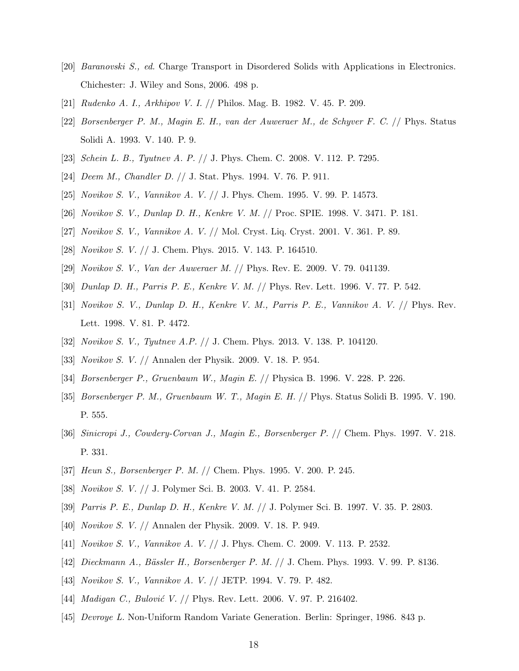- <span id="page-17-0"></span>[20] Baranovski S., ed. Charge Transport in Disordered Solids with Applications in Electronics. Chichester: J. Wiley and Sons, 2006. 498 p.
- <span id="page-17-2"></span><span id="page-17-1"></span>[21] Rudenko A. I., Arkhipov V. I. // Philos. Mag. B. 1982. V. 45. P. 209.
- [22] Borsenberger P. M., Magin E. H., van der Auweraer M., de Schyver F. C. // Phys. Status Solidi A. 1993. V. 140. P. 9.
- <span id="page-17-4"></span><span id="page-17-3"></span>[23] Schein L. B., Tyutnev A. P. // J. Phys. Chem. C. 2008. V. 112. P. 7295.
- <span id="page-17-5"></span>[24] Deem M., Chandler D. // J. Stat. Phys. 1994. V. 76. P. 911.
- <span id="page-17-14"></span>[25] Novikov S. V., Vannikov A. V. // J. Phys. Chem. 1995. V. 99. P. 14573.
- <span id="page-17-6"></span>[26] Novikov S. V., Dunlap D. H., Kenkre V. M. // Proc. SPIE. 1998. V. 3471. P. 181.
- <span id="page-17-7"></span>[27] Novikov S. V., Vannikov A. V. // Mol. Cryst. Liq. Cryst. 2001. V. 361. P. 89.
- <span id="page-17-8"></span>[28] Novikov S. V. // J. Chem. Phys. 2015. V. 143. P. 164510.
- <span id="page-17-9"></span>[29] Novikov S. V., Van der Auweraer M. // Phys. Rev. E. 2009. V. 79. 041139.
- <span id="page-17-10"></span>[30] Dunlap D. H., Parris P. E., Kenkre V. M. // Phys. Rev. Lett. 1996. V. 77. P. 542.
- [31] Novikov S. V., Dunlap D. H., Kenkre V. M., Parris P. E., Vannikov A. V. // Phys. Rev. Lett. 1998. V. 81. P. 4472.
- <span id="page-17-11"></span>[32] Novikov S. V., Tyutnev A.P. // J. Chem. Phys. 2013. V. 138. P. 104120.
- [33] Novikov S. V. // Annalen der Physik. 2009. V. 18. P. 954.
- <span id="page-17-12"></span>[34] Borsenberger P., Gruenbaum W., Magin E. // Physica B. 1996. V. 228. P. 226.
- [35] Borsenberger P. M., Gruenbaum W. T., Magin E. H. // Phys. Status Solidi B. 1995. V. 190. P. 555.
- [36] Sinicropi J., Cowdery-Corvan J., Magin E., Borsenberger P. // Chem. Phys. 1997. V. 218. P. 331.
- <span id="page-17-13"></span>[37] *Heun S., Borsenberger P. M. // Chem. Phys. 1995. V. 200. P. 245.*
- <span id="page-17-15"></span>[38] Novikov S. V. // J. Polymer Sci. B. 2003. V. 41. P. 2584.
- <span id="page-17-16"></span>[39] Parris P. E., Dunlap D. H., Kenkre V. M. // J. Polymer Sci. B. 1997. V. 35. P. 2803.
- <span id="page-17-17"></span>[40] Novikov S. V. // Annalen der Physik. 2009. V. 18. P. 949.
- <span id="page-17-18"></span>[41] Novikov S. V., Vannikov A. V. // J. Phys. Chem. C. 2009. V. 113. P. 2532.
- <span id="page-17-19"></span>[42] *Dieckmann A., Bässler H., Borsenberger P. M. // J.* Chem. Phys. 1993. V. 99. P. 8136.
- <span id="page-17-20"></span>[43] Novikov S. V., Vannikov A. V. // JETP. 1994. V. 79. P. 482.
- <span id="page-17-21"></span>[44] *Madigan C., Bulović V.* // Phys. Rev. Lett. 2006. V. 97. P. 216402.
- <span id="page-17-22"></span>[45] Devroye L. Non-Uniform Random Variate Generation. Berlin: Springer, 1986. 843 p.